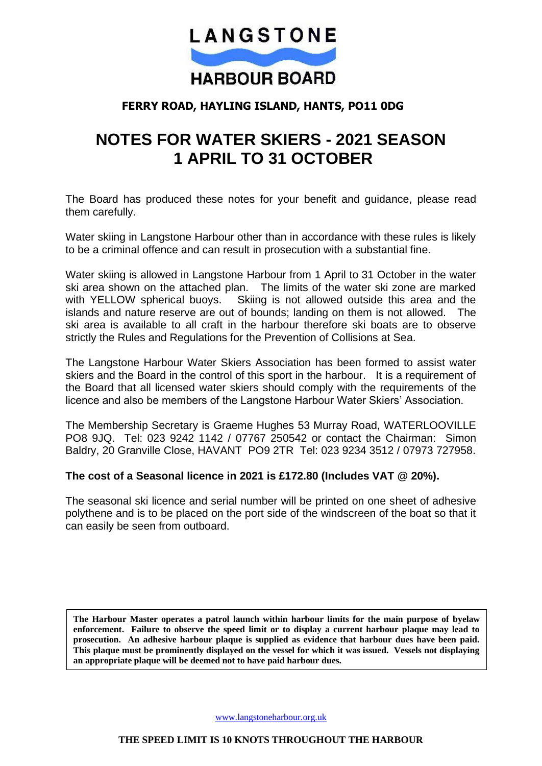

# **FERRY ROAD, HAYLING ISLAND, HANTS, PO11 0DG**

# **NOTES FOR WATER SKIERS - 2021 SEASON 1 APRIL TO 31 OCTOBER**

The Board has produced these notes for your benefit and guidance, please read them carefully.

Water skiing in Langstone Harbour other than in accordance with these rules is likely to be a criminal offence and can result in prosecution with a substantial fine.

Water skiing is allowed in Langstone Harbour from 1 April to 31 October in the water ski area shown on the attached plan. The limits of the water ski zone are marked with YELLOW spherical buoys. Skiing is not allowed outside this area and the islands and nature reserve are out of bounds; landing on them is not allowed. The ski area is available to all craft in the harbour therefore ski boats are to observe strictly the Rules and Regulations for the Prevention of Collisions at Sea.

The Langstone Harbour Water Skiers Association has been formed to assist water skiers and the Board in the control of this sport in the harbour. It is a requirement of the Board that all licensed water skiers should comply with the requirements of the licence and also be members of the Langstone Harbour Water Skiers' Association.

The Membership Secretary is Graeme Hughes 53 Murray Road, WATERLOOVILLE PO8 9JQ. Tel: 023 9242 1142 / 07767 250542 or contact the Chairman: Simon Baldry, 20 Granville Close, HAVANT PO9 2TR Tel: 023 9234 3512 / 07973 727958.

## **The cost of a Seasonal licence in 2021 is £172.80 (Includes VAT @ 20%).**

The seasonal ski licence and serial number will be printed on one sheet of adhesive polythene and is to be placed on the port side of the windscreen of the boat so that it can easily be seen from outboard.

**The Harbour Master operates a patrol launch within harbour limits for the main purpose of byelaw enforcement. Failure to observe the speed limit or to display a current harbour plaque may lead to prosecution. An adhesive harbour plaque is supplied as evidence that harbour dues have been paid. This plaque must be prominently displayed on the vessel for which it was issued. Vessels not displaying an appropriate plaque will be deemed not to have paid harbour dues.**

[www.langstoneharbour.org.uk](http://www.langstoneharbour.org.uk/)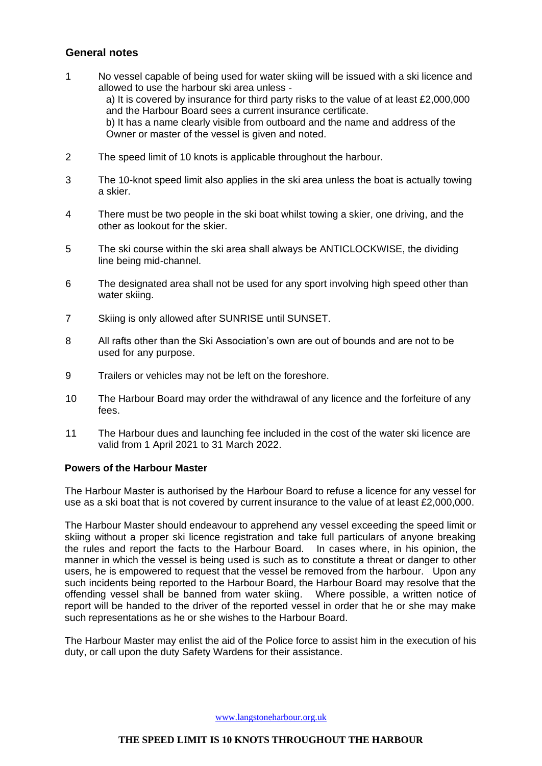### **General notes**

- 1 No vessel capable of being used for water skiing will be issued with a ski licence and allowed to use the harbour ski area unless a) It is covered by insurance for third party risks to the value of at least £2,000,000 and the Harbour Board sees a current insurance certificate. b) It has a name clearly visible from outboard and the name and address of the Owner or master of the vessel is given and noted.
- 2 The speed limit of 10 knots is applicable throughout the harbour.
- 3 The 10-knot speed limit also applies in the ski area unless the boat is actually towing a skier.
- 4 There must be two people in the ski boat whilst towing a skier, one driving, and the other as lookout for the skier.
- 5 The ski course within the ski area shall always be ANTICLOCKWISE, the dividing line being mid-channel.
- 6 The designated area shall not be used for any sport involving high speed other than water skiing.
- 7 Skiing is only allowed after SUNRISE until SUNSET.
- 8 All rafts other than the Ski Association's own are out of bounds and are not to be used for any purpose.
- 9 Trailers or vehicles may not be left on the foreshore.
- 10 The Harbour Board may order the withdrawal of any licence and the forfeiture of any fees.
- 11 The Harbour dues and launching fee included in the cost of the water ski licence are valid from 1 April 2021 to 31 March 2022.

#### **Powers of the Harbour Master**

The Harbour Master is authorised by the Harbour Board to refuse a licence for any vessel for use as a ski boat that is not covered by current insurance to the value of at least £2,000,000.

The Harbour Master should endeavour to apprehend any vessel exceeding the speed limit or skiing without a proper ski licence registration and take full particulars of anyone breaking the rules and report the facts to the Harbour Board. In cases where, in his opinion, the manner in which the vessel is being used is such as to constitute a threat or danger to other users, he is empowered to request that the vessel be removed from the harbour. Upon any such incidents being reported to the Harbour Board, the Harbour Board may resolve that the offending vessel shall be banned from water skiing. Where possible, a written notice of report will be handed to the driver of the reported vessel in order that he or she may make such representations as he or she wishes to the Harbour Board.

The Harbour Master may enlist the aid of the Police force to assist him in the execution of his duty, or call upon the duty Safety Wardens for their assistance.

[www.langstoneharbour.org.uk](http://www.langstoneharbour.org.uk/)